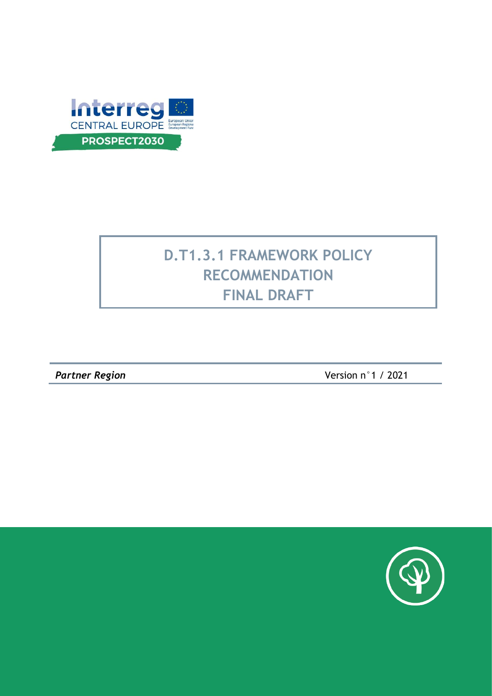

# **D.T1.3.1 FRAMEWORK POLICY RECOMMENDATION FINAL DRAFT**

*Partner Region* Version n°1 / 2021

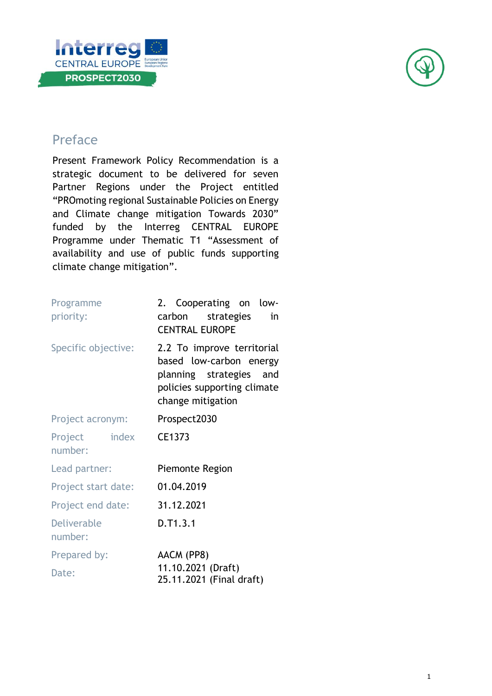



## Preface

Present Framework Policy Recommendation is a strategic document to be delivered for seven Partner Regions under the Project entitled "PROmoting regional Sustainable Policies on Energy and Climate change mitigation Towards 2030" funded by the Interreg CENTRAL EUROPE Programme under Thematic T1 "Assessment of availability and use of public funds supporting climate change mitigation".

| Programme<br>priority:        | 2. Cooperating on low-<br>carbon strategies<br>in<br><b>CENTRAL EUROPE</b>                                                           |
|-------------------------------|--------------------------------------------------------------------------------------------------------------------------------------|
| Specific objective:           | 2.2 To improve territorial<br>based low-carbon energy<br>planning strategies and<br>policies supporting climate<br>change mitigation |
| Project acronym:              | Prospect2030                                                                                                                         |
| Project index<br>number:      | CE1373                                                                                                                               |
| Lead partner:                 | Piemonte Region                                                                                                                      |
| Project start date:           | 01.04.2019                                                                                                                           |
| Project end date:             | 31.12.2021                                                                                                                           |
| <b>Deliverable</b><br>number: | D.T1.3.1                                                                                                                             |
| Prepared by:                  | AACM (PP8)                                                                                                                           |
| Date:                         | 11.10.2021 (Draft)<br>25.11.2021 (Final draft)                                                                                       |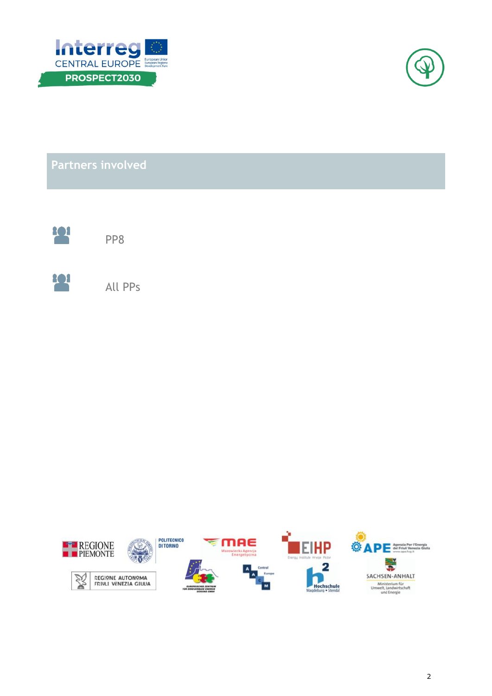



**Partners involved**



PP8



All PPs

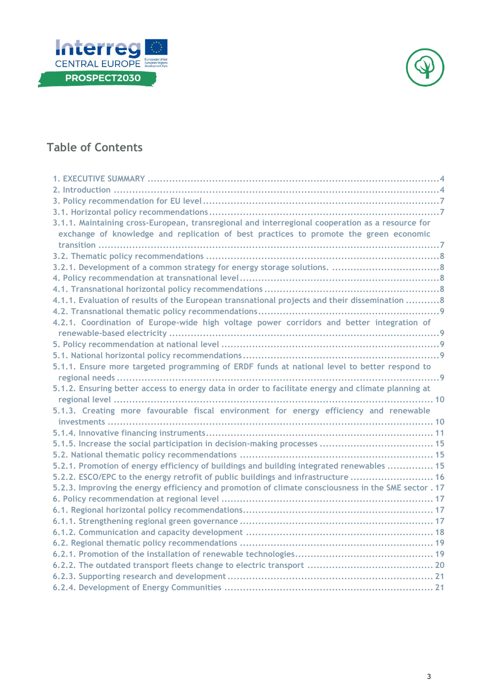



## **Table of Contents**

| 3.1.1. Maintaining cross-European, transregional and interregional cooperation as a resource for     |
|------------------------------------------------------------------------------------------------------|
| exchange of knowledge and replication of best practices to promote the green economic                |
|                                                                                                      |
|                                                                                                      |
|                                                                                                      |
|                                                                                                      |
|                                                                                                      |
| 4.1.1. Evaluation of results of the European transnational projects and their dissemination 8        |
|                                                                                                      |
| 4.2.1. Coordination of Europe-wide high voltage power corridors and better integration of            |
|                                                                                                      |
|                                                                                                      |
|                                                                                                      |
| 5.1.1. Ensure more targeted programming of ERDF funds at national level to better respond to         |
|                                                                                                      |
| 5.1.2. Ensuring better access to energy data in order to facilitate energy and climate planning at   |
|                                                                                                      |
| 5.1.3. Creating more favourable fiscal environment for energy efficiency and renewable               |
|                                                                                                      |
|                                                                                                      |
|                                                                                                      |
|                                                                                                      |
| 5.2.1. Promotion of energy efficiency of buildings and building integrated renewables  15            |
| 5.2.2. ESCO/EPC to the energy retrofit of public buildings and infrastructure  16                    |
| 5.2.3. Improving the energy efficiency and promotion of climate consciousness in the SME sector . 17 |
|                                                                                                      |
|                                                                                                      |
|                                                                                                      |
|                                                                                                      |
|                                                                                                      |
|                                                                                                      |
|                                                                                                      |
|                                                                                                      |
|                                                                                                      |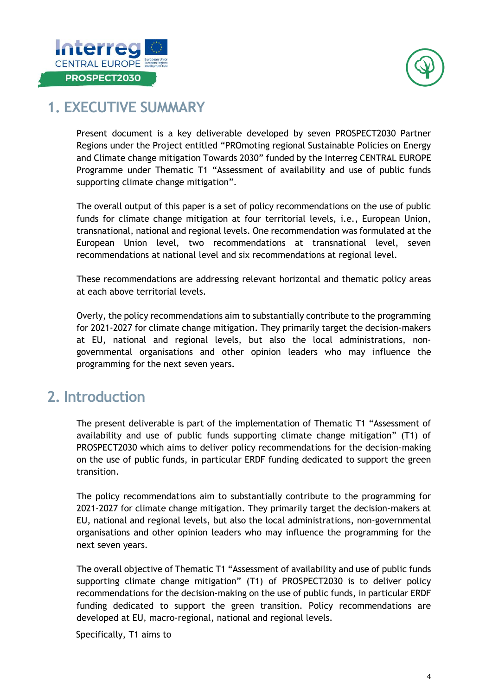



## <span id="page-4-0"></span>**1. EXECUTIVE SUMMARY**

Present document is a key deliverable developed by seven PROSPECT2030 Partner Regions under the Project entitled "PROmoting regional Sustainable Policies on Energy and Climate change mitigation Towards 2030" funded by the Interreg CENTRAL EUROPE Programme under Thematic T1 "Assessment of availability and use of public funds supporting climate change mitigation".

The overall output of this paper is a set of policy recommendations on the use of public funds for climate change mitigation at four territorial levels, i.e., European Union, transnational, national and regional levels. One recommendation was formulated at the European Union level, two recommendations at transnational level, seven recommendations at national level and six recommendations at regional level.

These recommendations are addressing relevant horizontal and thematic policy areas at each above territorial levels.

Overly, the policy recommendations aim to substantially contribute to the programming for 2021-2027 for climate change mitigation. They primarily target the decision-makers at EU, national and regional levels, but also the local administrations, nongovernmental organisations and other opinion leaders who may influence the programming for the next seven years.

## <span id="page-4-1"></span>**2. Introduction**

The present deliverable is part of the implementation of Thematic T1 "Assessment of availability and use of public funds supporting climate change mitigation" (T1) of PROSPECT2030 which aims to deliver policy recommendations for the decision-making on the use of public funds, in particular ERDF funding dedicated to support the green transition.

The policy recommendations aim to substantially contribute to the programming for 2021-2027 for climate change mitigation. They primarily target the decision-makers at EU, national and regional levels, but also the local administrations, non-governmental organisations and other opinion leaders who may influence the programming for the next seven years.

The overall objective of Thematic T1 "Assessment of availability and use of public funds supporting climate change mitigation" (T1) of PROSPECT2030 is to deliver policy recommendations for the decision-making on the use of public funds, in particular ERDF funding dedicated to support the green transition. Policy recommendations are developed at EU, macro-regional, national and regional levels.

Specifically, T1 aims to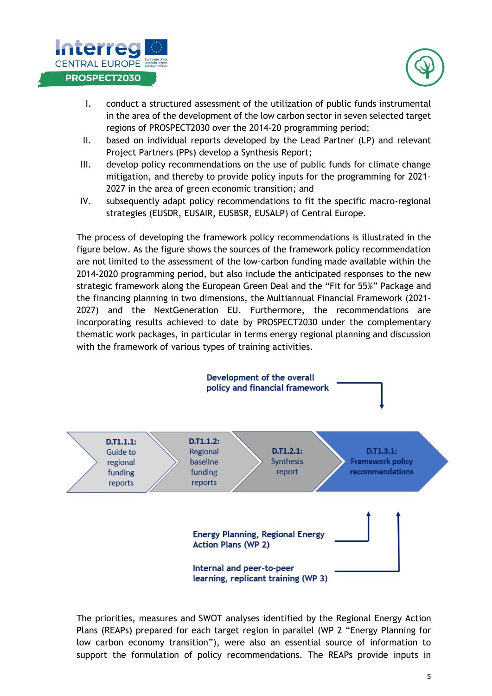



- I. conduct a structured assessment of the utilization of public funds instrumental in the area of the development of the low carbon sector in seven selected target regions of PROSPECT2030 over the 2014-20 programming period;
- II. based on individual reports developed by the Lead Partner (LP) and relevant Project Partners (PPs) develop a Synthesis Report;
- III. develop policy recommendations on the use of public funds for climate change mitigation, and thereby to provide policy inputs for the programming for 2021- 2027 in the area of green economic transition; and
- IV. subsequently adapt policy recommendations to fit the specific macro-regional strategies (EUSDR, EUSAIR, EUSBSR, EUSALP) of Central Europe.

The process of developing the framework policy recommendations is illustrated in the figure below. As the figure shows the sources of the framework policy recommendation are not limited to the assessment of the low-carbon funding made available within the 2014-2020 programming period, but also include the anticipated responses to the new strategic framework along the European Green Deal and the "Fit for 55%" Package and the financing planning in two dimensions, the Multiannual Financial Framework (2021- 2027) and the NextGeneration EU. Furthermore, the recommendations are incorporating results achieved to date by PROSPECT2030 under the complementary thematic work packages, in particular in terms energy regional planning and discussion with the framework of various types of training activities.



The priorities, measures and SWOT analyses identified by the Regional Energy Action Plans (REAPs) prepared for each target region in parallel (WP 2 "Energy Planning for low carbon economy transition"), were also an essential source of information to support the formulation of policy recommendations. The REAPs provide inputs in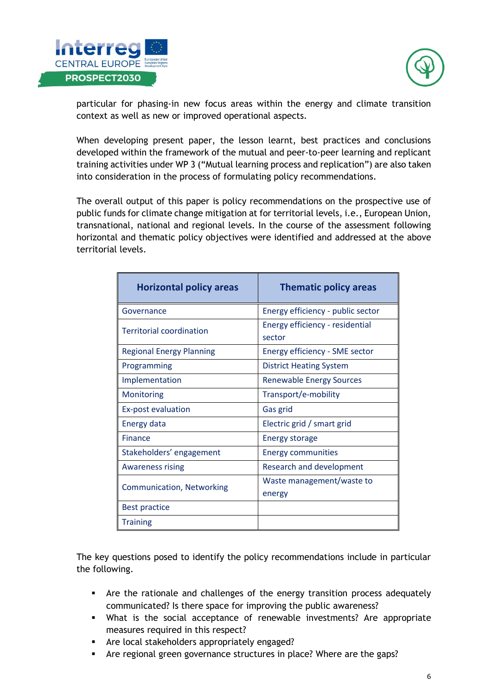



particular for phasing-in new focus areas within the energy and climate transition context as well as new or improved operational aspects.

When developing present paper, the lesson learnt, best practices and conclusions developed within the framework of the mutual and peer-to-peer learning and replicant training activities under WP 3 ("Mutual learning process and replication") are also taken into consideration in the process of formulating policy recommendations.

The overall output of this paper is policy recommendations on the prospective use of public funds for climate change mitigation at for territorial levels, i.e., European Union, transnational, national and regional levels. In the course of the assessment following horizontal and thematic policy objectives were identified and addressed at the above territorial levels.

| <b>Horizontal policy areas</b>   | <b>Thematic policy areas</b>              |
|----------------------------------|-------------------------------------------|
| Governance                       | Energy efficiency - public sector         |
| <b>Territorial coordination</b>  | Energy efficiency - residential<br>sector |
| <b>Regional Energy Planning</b>  | Energy efficiency - SME sector            |
| Programming                      | <b>District Heating System</b>            |
| Implementation                   | <b>Renewable Energy Sources</b>           |
| Monitoring                       | Transport/e-mobility                      |
| <b>Ex-post evaluation</b>        | Gas grid                                  |
| Energy data                      | Electric grid / smart grid                |
| <b>Finance</b>                   | <b>Energy storage</b>                     |
| Stakeholders' engagement         | <b>Energy communities</b>                 |
| <b>Awareness rising</b>          | <b>Research and development</b>           |
| <b>Communication, Networking</b> | Waste management/waste to<br>energy       |
| <b>Best practice</b>             |                                           |
| <b>Training</b>                  |                                           |

The key questions posed to identify the policy recommendations include in particular the following.

- Are the rationale and challenges of the energy transition process adequately communicated? Is there space for improving the public awareness?
- What is the social acceptance of renewable investments? Are appropriate measures required in this respect?
- Are local stakeholders appropriately engaged?
- Are regional green governance structures in place? Where are the gaps?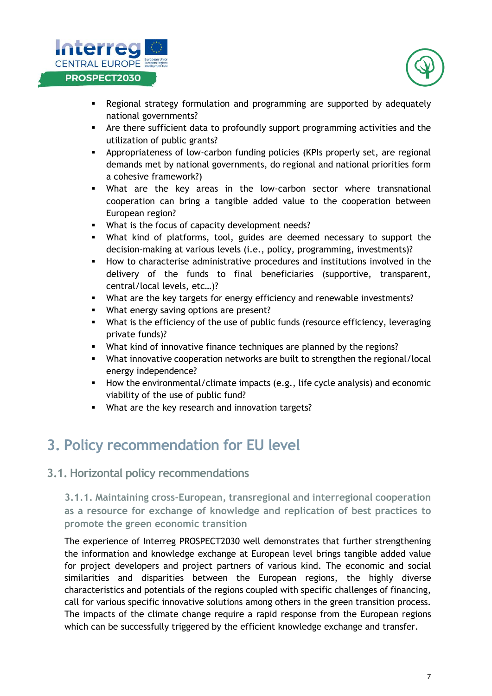



- **EXEC** Regional strategy formulation and programming are supported by adequately national governments?
- Are there sufficient data to profoundly support programming activities and the utilization of public grants?
- Appropriateness of low-carbon funding policies (KPIs properly set, are regional demands met by national governments, do regional and national priorities form a cohesive framework?)
- What are the key areas in the low-carbon sector where transnational cooperation can bring a tangible added value to the cooperation between European region?
- What is the focus of capacity development needs?
- What kind of platforms, tool, guides are deemed necessary to support the decision-making at various levels (i.e., policy, programming, investments)?
- How to characterise administrative procedures and institutions involved in the delivery of the funds to final beneficiaries (supportive, transparent, central/local levels, etc…)?
- What are the key targets for energy efficiency and renewable investments?
- What energy saving options are present?
- **EXECT** What is the efficiency of the use of public funds (resource efficiency, leveraging private funds)?
- What kind of innovative finance techniques are planned by the regions?
- What innovative cooperation networks are built to strengthen the regional/local energy independence?
- How the environmental/climate impacts (e.g., life cycle analysis) and economic viability of the use of public fund?
- What are the key research and innovation targets?

## <span id="page-7-0"></span>**3. Policy recommendation for EU level**

### <span id="page-7-1"></span>**3.1. Horizontal policy recommendations**

<span id="page-7-2"></span>**3.1.1. Maintaining cross-European, transregional and interregional cooperation as a resource for exchange of knowledge and replication of best practices to promote the green economic transition** 

The experience of Interreg PROSPECT2030 well demonstrates that further strengthening the information and knowledge exchange at European level brings tangible added value for project developers and project partners of various kind. The economic and social similarities and disparities between the European regions, the highly diverse characteristics and potentials of the regions coupled with specific challenges of financing, call for various specific innovative solutions among others in the green transition process. The impacts of the climate change require a rapid response from the European regions which can be successfully triggered by the efficient knowledge exchange and transfer.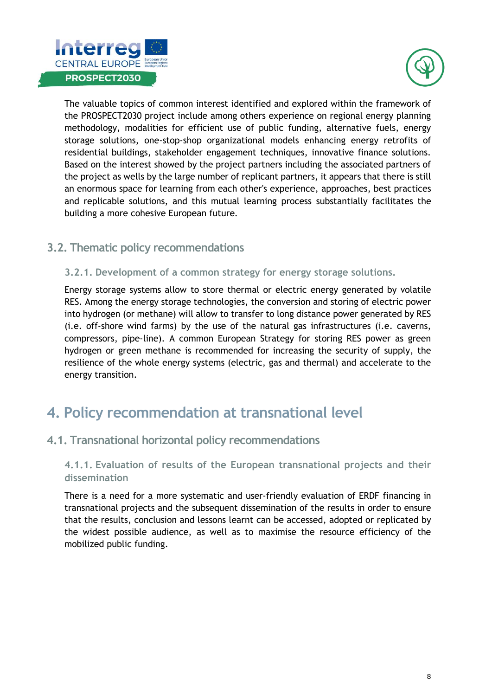



The valuable topics of common interest identified and explored within the framework of the PROSPECT2030 project include among others experience on regional energy planning methodology, modalities for efficient use of public funding, alternative fuels, energy storage solutions, one-stop-shop organizational models enhancing energy retrofits of residential buildings, stakeholder engagement techniques, innovative finance solutions. Based on the interest showed by the project partners including the associated partners of the project as wells by the large number of replicant partners, it appears that there is still an enormous space for learning from each other's experience, approaches, best practices and replicable solutions, and this mutual learning process substantially facilitates the building a more cohesive European future.

## <span id="page-8-0"></span>**3.2. Thematic policy recommendations**

#### <span id="page-8-1"></span>**3.2.1. Development of a common strategy for energy storage solutions.**

Energy storage systems allow to store thermal or electric energy generated by volatile RES. Among the energy storage technologies, the conversion and storing of electric power into hydrogen (or methane) will allow to transfer to long distance power generated by RES (i.e. off-shore wind farms) by the use of the natural gas infrastructures (i.e. caverns, compressors, pipe-line). A common European Strategy for storing RES power as green hydrogen or green methane is recommended for increasing the security of supply, the resilience of the whole energy systems (electric, gas and thermal) and accelerate to the energy transition.

## <span id="page-8-2"></span>**4. Policy recommendation at transnational level**

## <span id="page-8-3"></span>**4.1. Transnational horizontal policy recommendations**

#### <span id="page-8-4"></span>**4.1.1. Evaluation of results of the European transnational projects and their dissemination**

There is a need for a more systematic and user-friendly evaluation of ERDF financing in transnational projects and the subsequent dissemination of the results in order to ensure that the results, conclusion and lessons learnt can be accessed, adopted or replicated by the widest possible audience, as well as to maximise the resource efficiency of the mobilized public funding.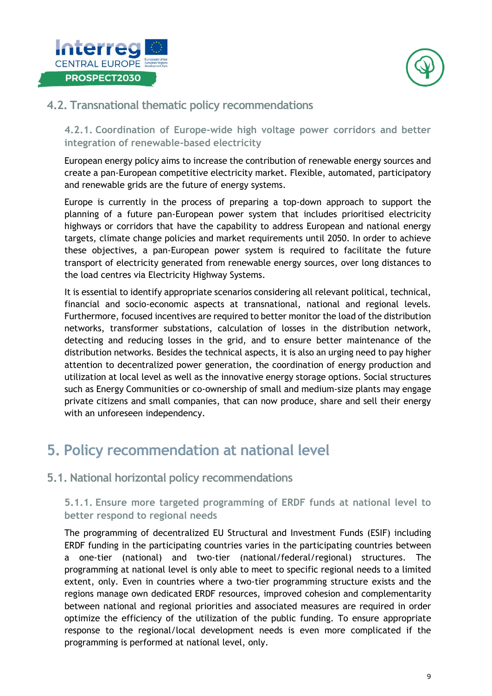



## <span id="page-9-0"></span>**4.2. Transnational thematic policy recommendations**

<span id="page-9-1"></span>**4.2.1. Coordination of Europe-wide high voltage power corridors and better integration of renewable-based electricity** 

European energy policy aims to increase the contribution of renewable energy sources and create a pan-European competitive electricity market. Flexible, automated, participatory and renewable grids are the future of energy systems.

Europe is currently in the process of preparing a top-down approach to support the planning of a future pan-European power system that includes prioritised electricity highways or corridors that have the capability to address European and national energy targets, climate change policies and market requirements until 2050. In order to achieve these objectives, a pan-European power system is required to facilitate the future transport of electricity generated from renewable energy sources, over long distances to the load centres via Electricity Highway Systems.

It is essential to identify appropriate scenarios considering all relevant political, technical, financial and socio-economic aspects at transnational, national and regional levels. Furthermore, focused incentives are required to better monitor the load of the distribution networks, transformer substations, calculation of losses in the distribution network, detecting and reducing losses in the grid, and to ensure better maintenance of the distribution networks. Besides the technical aspects, it is also an urging need to pay higher attention to decentralized power generation, the coordination of energy production and utilization at local level as well as the innovative energy storage options. Social structures such as Energy Communities or co-ownership of small and medium-size plants may engage private citizens and small companies, that can now produce, share and sell their energy with an unforeseen independency.

## <span id="page-9-2"></span>**5. Policy recommendation at national level**

## <span id="page-9-3"></span>**5.1. National horizontal policy recommendations**

### <span id="page-9-4"></span>**5.1.1. Ensure more targeted programming of ERDF funds at national level to better respond to regional needs**

The programming of decentralized EU Structural and Investment Funds (ESIF) including ERDF funding in the participating countries varies in the participating countries between a one-tier (national) and two-tier (national/federal/regional) structures. The programming at national level is only able to meet to specific regional needs to a limited extent, only. Even in countries where a two-tier programming structure exists and the regions manage own dedicated ERDF resources, improved cohesion and complementarity between national and regional priorities and associated measures are required in order optimize the efficiency of the utilization of the public funding. To ensure appropriate response to the regional/local development needs is even more complicated if the programming is performed at national level, only.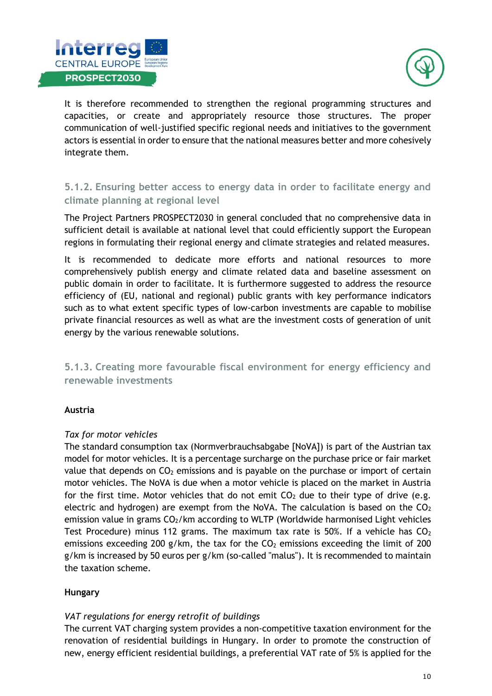



It is therefore recommended to strengthen the regional programming structures and capacities, or create and appropriately resource those structures. The proper communication of well-justified specific regional needs and initiatives to the government actors is essential in order to ensure that the national measures better and more cohesively integrate them.

### <span id="page-10-0"></span>**5.1.2. Ensuring better access to energy data in order to facilitate energy and climate planning at regional level**

The Project Partners PROSPECT2030 in general concluded that no comprehensive data in sufficient detail is available at national level that could efficiently support the European regions in formulating their regional energy and climate strategies and related measures.

It is recommended to dedicate more efforts and national resources to more comprehensively publish energy and climate related data and baseline assessment on public domain in order to facilitate. It is furthermore suggested to address the resource efficiency of (EU, national and regional) public grants with key performance indicators such as to what extent specific types of low-carbon investments are capable to mobilise private financial resources as well as what are the investment costs of generation of unit energy by the various renewable solutions.

<span id="page-10-1"></span>**5.1.3. Creating more favourable fiscal environment for energy efficiency and renewable investments** 

#### **Austria**

#### *Tax for motor vehicles*

The standard consumption tax (Normverbrauchsabgabe [NoVA]) is part of the Austrian tax model for motor vehicles. It is a percentage surcharge on the purchase price or fair market value that depends on  $CO<sub>2</sub>$  emissions and is payable on the purchase or import of certain motor vehicles. The NoVA is due when a motor vehicle is placed on the market in Austria for the first time. Motor vehicles that do not emit  $CO<sub>2</sub>$  due to their type of drive (e.g. electric and hydrogen) are exempt from the NoVA. The calculation is based on the  $CO<sub>2</sub>$ emission value in grams  $CO<sub>2</sub>/km$  according to WLTP (Worldwide harmonised Light vehicles Test Procedure) minus 112 grams. The maximum tax rate is 50%. If a vehicle has  $CO<sub>2</sub>$ emissions exceeding 200 g/km, the tax for the  $CO<sub>2</sub>$  emissions exceeding the limit of 200 g/km is increased by 50 euros per g/km (so-called "malus"). It is recommended to maintain the taxation scheme.

#### **Hungary**

#### *VAT regulations for energy retrofit of buildings*

The current VAT charging system provides a non-competitive taxation environment for the renovation of residential buildings in Hungary. In order to promote the construction of new, energy efficient residential buildings, a preferential VAT rate of 5% is applied for the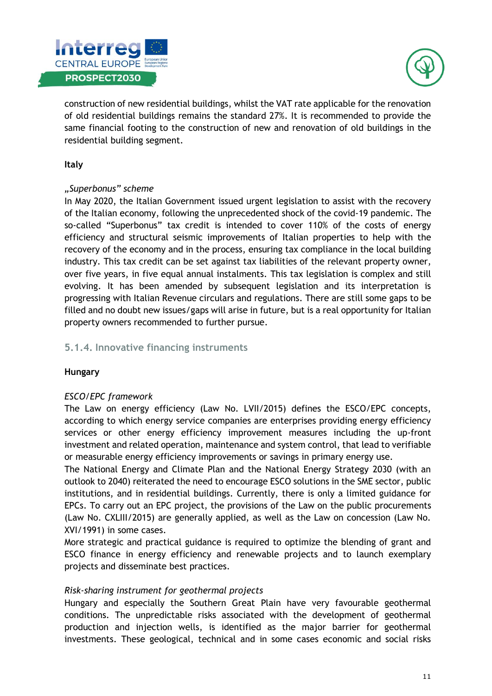



construction of new residential buildings, whilst the VAT rate applicable for the renovation of old residential buildings remains the standard 27%. It is recommended to provide the same financial footing to the construction of new and renovation of old buildings in the residential building segment.

#### **Italy**

#### *"Superbonus" scheme*

In May 2020, the Italian Government issued urgent legislation to assist with the recovery of the Italian economy, following the unprecedented shock of the covid-19 pandemic. The so-called "Superbonus" tax credit is intended to cover 110% of the costs of energy efficiency and structural seismic improvements of Italian properties to help with the recovery of the economy and in the process, ensuring tax compliance in the local building industry. This tax credit can be set against tax liabilities of the relevant property owner, over five years, in five equal annual instalments. This tax legislation is complex and still evolving. It has been amended by subsequent legislation and its interpretation is progressing with Italian Revenue circulars and regulations. There are still some gaps to be filled and no doubt new issues/gaps will arise in future, but is a real opportunity for Italian property owners recommended to further pursue.

#### <span id="page-11-0"></span>**5.1.4. Innovative financing instruments**

#### **Hungary**

#### *ESCO/EPC framework*

The Law on energy efficiency (Law No. LVII/2015) defines the ESCO/EPC concepts, according to which energy service companies are enterprises providing energy efficiency services or other energy efficiency improvement measures including the up-front investment and related operation, maintenance and system control, that lead to verifiable or measurable energy efficiency improvements or savings in primary energy use.

The National Energy and Climate Plan and the National Energy Strategy 2030 (with an outlook to 2040) reiterated the need to encourage ESCO solutions in the SME sector, public institutions, and in residential buildings. Currently, there is only a limited guidance for EPCs. To carry out an EPC project, the provisions of the Law on the public procurements (Law No. CXLIII/2015) are generally applied, as well as the Law on concession (Law No. XVI/1991) in some cases.

More strategic and practical guidance is required to optimize the blending of grant and ESCO finance in energy efficiency and renewable projects and to launch exemplary projects and disseminate best practices.

#### *Risk-sharing instrument for geothermal projects*

Hungary and especially the Southern Great Plain have very favourable geothermal conditions. The unpredictable risks associated with the development of geothermal production and injection wells, is identified as the major barrier for geothermal investments. These geological, technical and in some cases economic and social risks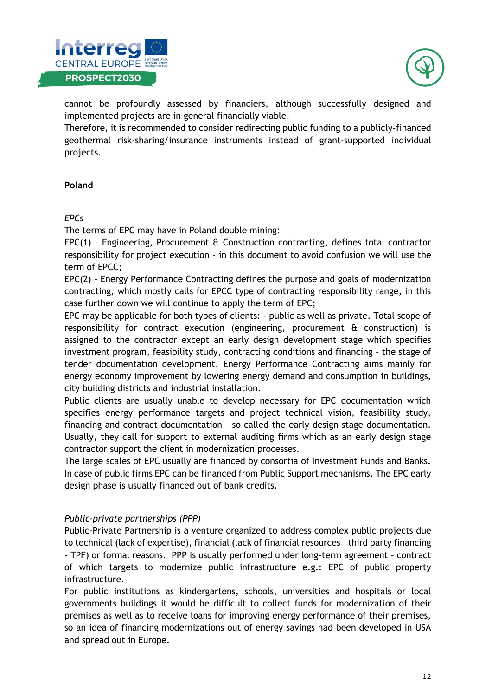



cannot be profoundly assessed by financiers, although successfully designed and implemented projects are in general financially viable.

Therefore, it is recommended to consider redirecting public funding to a publicly-financed geothermal risk-sharing/insurance instruments instead of grant-supported individual projects.

#### **Poland**

#### *EPCs*

The terms of EPC may have in Poland double mining:

 $EPC(1)$  - Engineering, Procurement  $\hat{a}$  Construction contracting, defines total contractor responsibility for project execution – in this document to avoid confusion we will use the term of EPCC;

EPC(2) – Energy Performance Contracting defines the purpose and goals of modernization contracting, which mostly calls for EPCC type of contracting responsibility range, in this case further down we will continue to apply the term of EPC;

EPC may be applicable for both types of clients: - public as well as private. Total scope of responsibility for contract execution (engineering, procurement & construction) is assigned to the contractor except an early design development stage which specifies investment program, feasibility study, contracting conditions and financing – the stage of tender documentation development. Energy Performance Contracting aims mainly for energy economy improvement by lowering energy demand and consumption in buildings, city building districts and industrial installation.

Public clients are usually unable to develop necessary for EPC documentation which specifies energy performance targets and project technical vision, feasibility study, financing and contract documentation – so called the early design stage documentation. Usually, they call for support to external auditing firms which as an early design stage contractor support the client in modernization processes.

The large scales of EPC usually are financed by consortia of Investment Funds and Banks. In case of public firms EPC can be financed from Public Support mechanisms. The EPC early design phase is usually financed out of bank credits.

#### *Public-private partnerships (PPP)*

Public-Private Partnership is a venture organized to address complex public projects due to technical (lack of expertise), financial (lack of financial resources – third party financing - TPF) or formal reasons. PPP is usually performed under long-term agreement – contract of which targets to modernize public infrastructure e.g.: EPC of public property infrastructure.

For public institutions as kindergartens, schools, universities and hospitals or local governments buildings it would be difficult to collect funds for modernization of their premises as well as to receive loans for improving energy performance of their premises, so an idea of financing modernizations out of energy savings had been developed in USA and spread out in Europe.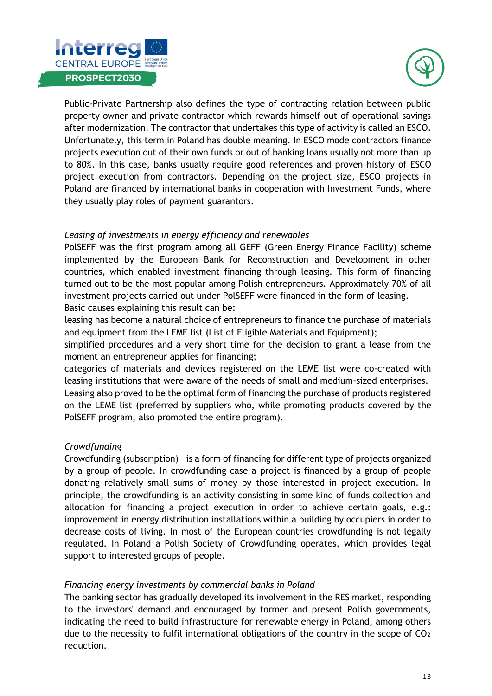



Public-Private Partnership also defines the type of contracting relation between public property owner and private contractor which rewards himself out of operational savings after modernization. The contractor that undertakes this type of activity is called an ESCO. Unfortunately, this term in Poland has double meaning. In ESCO mode contractors finance projects execution out of their own funds or out of banking loans usually not more than up to 80%. In this case, banks usually require good references and proven history of ESCO project execution from contractors. Depending on the project size, ESCO projects in Poland are financed by international banks in cooperation with Investment Funds, where they usually play roles of payment guarantors.

#### *Leasing of investments in energy efficiency and renewables*

PolSEFF was the first program among all GEFF (Green Energy Finance Facility) scheme implemented by the European Bank for Reconstruction and Development in other countries, which enabled investment financing through leasing. This form of financing turned out to be the most popular among Polish entrepreneurs. Approximately 70% of all investment projects carried out under PolSEFF were financed in the form of leasing. Basic causes explaining this result can be:

leasing has become a natural choice of entrepreneurs to finance the purchase of materials and equipment from the LEME list (List of Eligible Materials and Equipment);

simplified procedures and a very short time for the decision to grant a lease from the moment an entrepreneur applies for financing;

categories of materials and devices registered on the LEME list were co-created with leasing institutions that were aware of the needs of small and medium-sized enterprises.

Leasing also proved to be the optimal form of financing the purchase of products registered on the LEME list (preferred by suppliers who, while promoting products covered by the PolSEFF program, also promoted the entire program).

#### *Crowdfunding*

Crowdfunding (subscription) – is a form of financing for different type of projects organized by a group of people. In crowdfunding case a project is financed by a group of people donating relatively small sums of money by those interested in project execution. In principle, the crowdfunding is an activity consisting in some kind of funds collection and allocation for financing a project execution in order to achieve certain goals, e.g.: improvement in energy distribution installations within a building by occupiers in order to decrease costs of living. In most of the European countries crowdfunding is not legally regulated. In Poland a Polish Society of Crowdfunding operates, which provides legal support to interested groups of people.

#### *Financing energy investments by commercial banks in Poland*

The banking sector has gradually developed its involvement in the RES market, responding to the investors' demand and encouraged by former and present Polish governments, indicating the need to build infrastructure for renewable energy in Poland, among others due to the necessity to fulfil international obligations of the country in the scope of  $CO<sub>2</sub>$ reduction.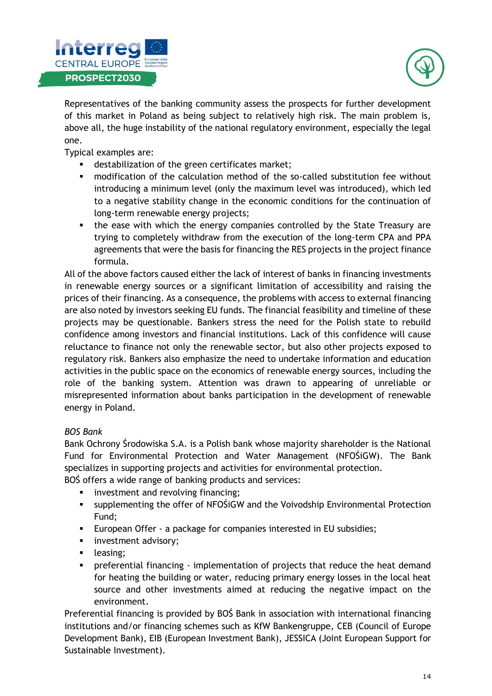



Representatives of the banking community assess the prospects for further development of this market in Poland as being subject to relatively high risk. The main problem is, above all, the huge instability of the national regulatory environment, especially the legal one.

Typical examples are:

- destabilization of the green certificates market;
- modification of the calculation method of the so-called substitution fee without introducing a minimum level (only the maximum level was introduced), which led to a negative stability change in the economic conditions for the continuation of long-term renewable energy projects;
- the ease with which the energy companies controlled by the State Treasury are trying to completely withdraw from the execution of the long-term CPA and PPA agreements that were the basis for financing the RES projects in the project finance formula.

All of the above factors caused either the lack of interest of banks in financing investments in renewable energy sources or a significant limitation of accessibility and raising the prices of their financing. As a consequence, the problems with access to external financing are also noted by investors seeking EU funds. The financial feasibility and timeline of these projects may be questionable. Bankers stress the need for the Polish state to rebuild confidence among investors and financial institutions. Lack of this confidence will cause reluctance to finance not only the renewable sector, but also other projects exposed to regulatory risk. Bankers also emphasize the need to undertake information and education activities in the public space on the economics of renewable energy sources, including the role of the banking system. Attention was drawn to appearing of unreliable or misrepresented information about banks participation in the development of renewable energy in Poland.

#### *BOS Bank*

Bank Ochrony Środowiska S.A. is a Polish bank whose majority shareholder is the National Fund for Environmental Protection and Water Management (NFOŚiGW). The Bank specializes in supporting projects and activities for environmental protection.

BOŚ offers a wide range of banking products and services:

- **•** investment and revolving financing;
- supplementing the offer of NFOSiGW and the Voivodship Environmental Protection Fund;
- European Offer a package for companies interested in EU subsidies;
- **·** investment advisory;
- **•** leasing;
- preferential financing implementation of projects that reduce the heat demand for heating the building or water, reducing primary energy losses in the local heat source and other investments aimed at reducing the negative impact on the environment.

Preferential financing is provided by BOŚ Bank in association with international financing institutions and/or financing schemes such as KfW Bankengruppe, CEB (Council of Europe Development Bank), EIB (European Investment Bank), JESSICA (Joint European Support for Sustainable Investment).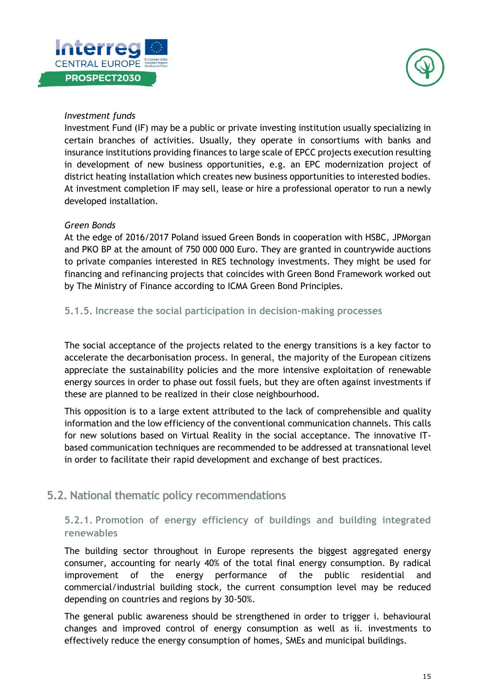



#### *Investment funds*

Investment Fund (IF) may be a public or private investing institution usually specializing in certain branches of activities. Usually, they operate in consortiums with banks and insurance institutions providing finances to large scale of EPCC projects execution resulting in development of new business opportunities, e.g. an EPC modernization project of district heating installation which creates new business opportunities to interested bodies. At investment completion IF may sell, lease or hire a professional operator to run a newly developed installation.

#### *Green Bonds*

At the edge of 2016/2017 Poland issued Green Bonds in cooperation with HSBC, JPMorgan and PKO BP at the amount of 750 000 000 Euro. They are granted in countrywide auctions to private companies interested in RES technology investments. They might be used for financing and refinancing projects that coincides with Green Bond Framework worked out by The Ministry of Finance according to ICMA Green Bond Principles.

#### <span id="page-15-0"></span>**5.1.5. Increase the social participation in decision-making processes**

The social acceptance of the projects related to the energy transitions is a key factor to accelerate the decarbonisation process. In general, the majority of the European citizens appreciate the sustainability policies and the more intensive exploitation of renewable energy sources in order to phase out fossil fuels, but they are often against investments if these are planned to be realized in their close neighbourhood.

This opposition is to a large extent attributed to the lack of comprehensible and quality information and the low efficiency of the conventional communication channels. This calls for new solutions based on Virtual Reality in the social acceptance. The innovative ITbased communication techniques are recommended to be addressed at transnational level in order to facilitate their rapid development and exchange of best practices.

## <span id="page-15-1"></span>**5.2. National thematic policy recommendations**

### <span id="page-15-2"></span>**5.2.1. Promotion of energy efficiency of buildings and building integrated renewables**

The building sector throughout in Europe represents the biggest aggregated energy consumer, accounting for nearly 40% of the total final energy consumption. By radical improvement of the energy performance of the public residential and commercial/industrial building stock, the current consumption level may be reduced depending on countries and regions by 30-50%.

The general public awareness should be strengthened in order to trigger i. behavioural changes and improved control of energy consumption as well as ii. investments to effectively reduce the energy consumption of homes, SMEs and municipal buildings.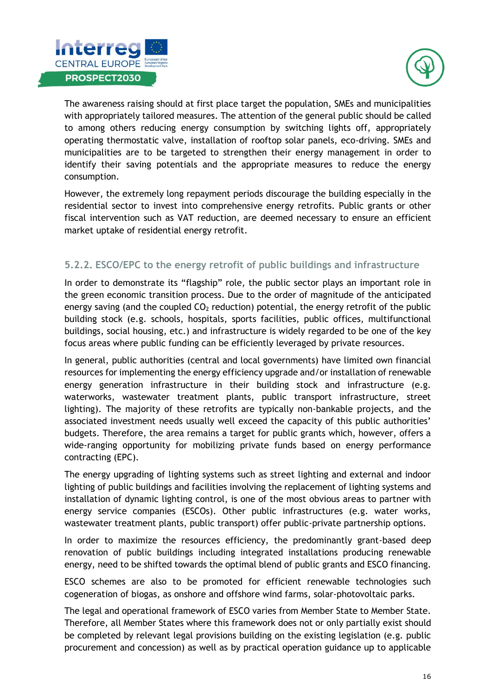



The awareness raising should at first place target the population, SMEs and municipalities with appropriately tailored measures. The attention of the general public should be called to among others reducing energy consumption by switching lights off, appropriately operating thermostatic valve, installation of rooftop solar panels, eco-driving. SMEs and municipalities are to be targeted to strengthen their energy management in order to identify their saving potentials and the appropriate measures to reduce the energy consumption.

However, the extremely long repayment periods discourage the building especially in the residential sector to invest into comprehensive energy retrofits. Public grants or other fiscal intervention such as VAT reduction, are deemed necessary to ensure an efficient market uptake of residential energy retrofit.

### <span id="page-16-0"></span>**5.2.2. ESCO/EPC to the energy retrofit of public buildings and infrastructure**

In order to demonstrate its "flagship" role, the public sector plays an important role in the green economic transition process. Due to the order of magnitude of the anticipated energy saving (and the coupled  $CO<sub>2</sub>$  reduction) potential, the energy retrofit of the public building stock (e.g. schools, hospitals, sports facilities, public offices, multifunctional buildings, social housing, etc.) and infrastructure is widely regarded to be one of the key focus areas where public funding can be efficiently leveraged by private resources.

In general, public authorities (central and local governments) have limited own financial resources for implementing the energy efficiency upgrade and/or installation of renewable energy generation infrastructure in their building stock and infrastructure (e.g. waterworks, wastewater treatment plants, public transport infrastructure, street lighting). The majority of these retrofits are typically non-bankable projects, and the associated investment needs usually well exceed the capacity of this public authorities' budgets. Therefore, the area remains a target for public grants which, however, offers a wide-ranging opportunity for mobilizing private funds based on energy performance contracting (EPC).

The energy upgrading of lighting systems such as street lighting and external and indoor lighting of public buildings and facilities involving the replacement of lighting systems and installation of dynamic lighting control, is one of the most obvious areas to partner with energy service companies (ESCOs). Other public infrastructures (e.g. water works, wastewater treatment plants, public transport) offer public-private partnership options.

In order to maximize the resources efficiency, the predominantly grant-based deep renovation of public buildings including integrated installations producing renewable energy, need to be shifted towards the optimal blend of public grants and ESCO financing.

ESCO schemes are also to be promoted for efficient renewable technologies such cogeneration of biogas, as onshore and offshore wind farms, solar-photovoltaic parks.

The legal and operational framework of ESCO varies from Member State to Member State. Therefore, all Member States where this framework does not or only partially exist should be completed by relevant legal provisions building on the existing legislation (e.g. public procurement and concession) as well as by practical operation guidance up to applicable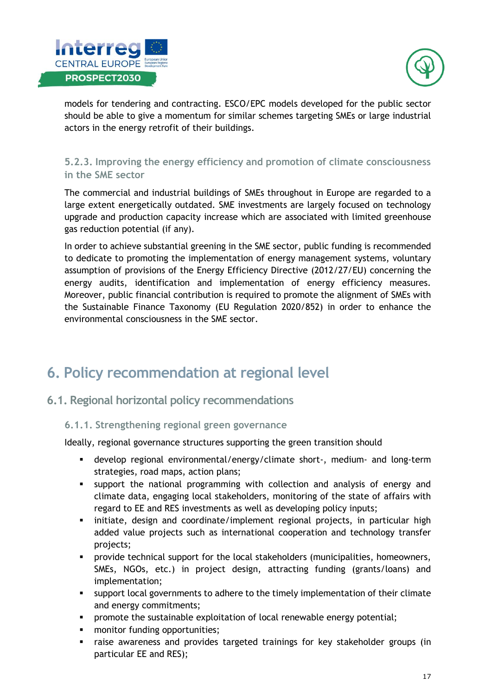



models for tendering and contracting. ESCO/EPC models developed for the public sector should be able to give a momentum for similar schemes targeting SMEs or large industrial actors in the energy retrofit of their buildings.

### <span id="page-17-0"></span>**5.2.3. Improving the energy efficiency and promotion of climate consciousness in the SME sector**

The commercial and industrial buildings of SMEs throughout in Europe are regarded to a large extent energetically outdated. SME investments are largely focused on technology upgrade and production capacity increase which are associated with limited greenhouse gas reduction potential (if any).

In order to achieve substantial greening in the SME sector, public funding is recommended to dedicate to promoting the implementation of energy management systems, voluntary assumption of provisions of the Energy Efficiency Directive (2012/27/EU) concerning the energy audits, identification and implementation of energy efficiency measures. Moreover, public financial contribution is required to promote the alignment of SMEs with the Sustainable Finance Taxonomy (EU Regulation 2020/852) in order to enhance the environmental consciousness in the SME sector.

## <span id="page-17-1"></span>**6. Policy recommendation at regional level**

## <span id="page-17-2"></span>**6.1. Regional horizontal policy recommendations**

#### <span id="page-17-3"></span>**6.1.1. Strengthening regional green governance**

Ideally, regional governance structures supporting the green transition should

- develop regional environmental/energy/climate short-, medium- and long-term strategies, road maps, action plans;
- support the national programming with collection and analysis of energy and climate data, engaging local stakeholders, monitoring of the state of affairs with regard to EE and RES investments as well as developing policy inputs;
- initiate, design and coordinate/implement regional projects, in particular high added value projects such as international cooperation and technology transfer projects;
- provide technical support for the local stakeholders (municipalities, homeowners, SMEs, NGOs, etc.) in project design, attracting funding (grants/loans) and implementation;
- support local governments to adhere to the timely implementation of their climate and energy commitments;
- **•** promote the sustainable exploitation of local renewable energy potential;
- monitor funding opportunities;
- raise awareness and provides targeted trainings for key stakeholder groups (in particular EE and RES);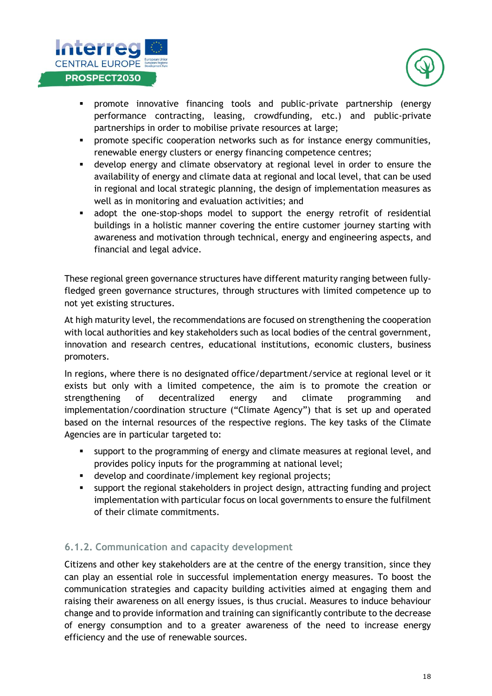



- **•** promote innovative financing tools and public-private partnership (energy performance contracting, leasing, crowdfunding, etc.) and public-private partnerships in order to mobilise private resources at large;
- promote specific cooperation networks such as for instance energy communities, renewable energy clusters or energy financing competence centres;
- develop energy and climate observatory at regional level in order to ensure the availability of energy and climate data at regional and local level, that can be used in regional and local strategic planning, the design of implementation measures as well as in monitoring and evaluation activities; and
- adopt the one-stop-shops model to support the energy retrofit of residential buildings in a holistic manner covering the entire customer journey starting with awareness and motivation through technical, energy and engineering aspects, and financial and legal advice.

These regional green governance structures have different maturity ranging between fullyfledged green governance structures, through structures with limited competence up to not yet existing structures.

At high maturity level, the recommendations are focused on strengthening the cooperation with local authorities and key stakeholders such as local bodies of the central government, innovation and research centres, educational institutions, economic clusters, business promoters.

In regions, where there is no designated office/department/service at regional level or it exists but only with a limited competence, the aim is to promote the creation or strengthening of decentralized energy and climate programming and implementation/coordination structure ("Climate Agency") that is set up and operated based on the internal resources of the respective regions. The key tasks of the Climate Agencies are in particular targeted to:

- support to the programming of energy and climate measures at regional level, and provides policy inputs for the programming at national level;
- develop and coordinate/implement key regional projects;
- support the regional stakeholders in project design, attracting funding and project implementation with particular focus on local governments to ensure the fulfilment of their climate commitments.

### <span id="page-18-0"></span>**6.1.2. Communication and capacity development**

Citizens and other key stakeholders are at the centre of the energy transition, since they can play an essential role in successful implementation energy measures. To boost the communication strategies and capacity building activities aimed at engaging them and raising their awareness on all energy issues, is thus crucial. Measures to induce behaviour change and to provide information and training can significantly contribute to the decrease of energy consumption and to a greater awareness of the need to increase energy efficiency and the use of renewable sources.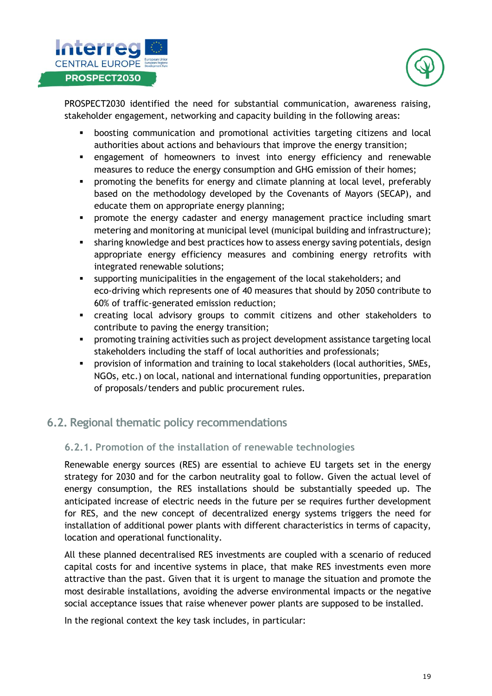



PROSPECT2030 identified the need for substantial communication, awareness raising, stakeholder engagement, networking and capacity building in the following areas:

- boosting communication and promotional activities targeting citizens and local authorities about actions and behaviours that improve the energy transition;
- engagement of homeowners to invest into energy efficiency and renewable measures to reduce the energy consumption and GHG emission of their homes;
- **•** promoting the benefits for energy and climate planning at local level, preferably based on the methodology developed by the Covenants of Mayors (SECAP), and educate them on appropriate energy planning;
- promote the energy cadaster and energy management practice including smart metering and monitoring at municipal level (municipal building and infrastructure);
- **•** sharing knowledge and best practices how to assess energy saving potentials, design appropriate energy efficiency measures and combining energy retrofits with integrated renewable solutions;
- supporting municipalities in the engagement of the local stakeholders; and eco-driving which represents one of 40 measures that should by 2050 contribute to 60% of traffic-generated emission reduction;
- creating local advisory groups to commit citizens and other stakeholders to contribute to paving the energy transition;
- promoting training activities such as project development assistance targeting local stakeholders including the staff of local authorities and professionals;
- **•** provision of information and training to local stakeholders (local authorities, SMEs, NGOs, etc.) on local, national and international funding opportunities, preparation of proposals/tenders and public procurement rules.

## <span id="page-19-0"></span>**6.2. Regional thematic policy recommendations**

#### <span id="page-19-1"></span>**6.2.1. Promotion of the installation of renewable technologies**

Renewable energy sources (RES) are essential to achieve EU targets set in the energy strategy for 2030 and for the carbon neutrality goal to follow. Given the actual level of energy consumption, the RES installations should be substantially speeded up. The anticipated increase of electric needs in the future per se requires further development for RES, and the new concept of decentralized energy systems triggers the need for installation of additional power plants with different characteristics in terms of capacity, location and operational functionality.

All these planned decentralised RES investments are coupled with a scenario of reduced capital costs for and incentive systems in place, that make RES investments even more attractive than the past. Given that it is urgent to manage the situation and promote the most desirable installations, avoiding the adverse environmental impacts or the negative social acceptance issues that raise whenever power plants are supposed to be installed.

In the regional context the key task includes, in particular: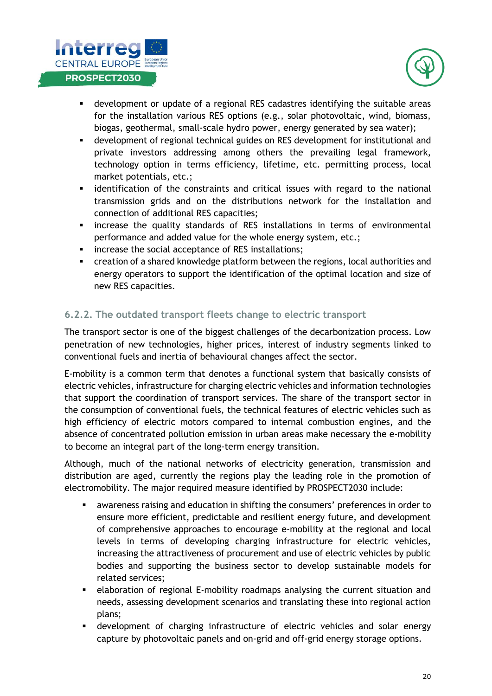



- **■** development or update of a regional RES cadastres identifying the suitable areas for the installation various RES options (e.g., solar photovoltaic, wind, biomass, biogas, geothermal, small-scale hydro power, energy generated by sea water);
- **■** development of regional technical guides on RES development for institutional and private investors addressing among others the prevailing legal framework, technology option in terms efficiency, lifetime, etc. permitting process, local market potentials, etc.;
- **EXEDENT** identification of the constraints and critical issues with regard to the national transmission grids and on the distributions network for the installation and connection of additional RES capacities;
- increase the quality standards of RES installations in terms of environmental performance and added value for the whole energy system, etc.;
- **·** increase the social acceptance of RES installations;
- creation of a shared knowledge platform between the regions, local authorities and energy operators to support the identification of the optimal location and size of new RES capacities.

#### <span id="page-20-0"></span>**6.2.2. The outdated transport fleets change to electric transport**

The transport sector is one of the biggest challenges of the decarbonization process. Low penetration of new technologies, higher prices, interest of industry segments linked to conventional fuels and inertia of behavioural changes affect the sector.

E-mobility is a common term that denotes a functional system that basically consists of electric vehicles, infrastructure for charging electric vehicles and information technologies that support the coordination of transport services. The share of the transport sector in the consumption of conventional fuels, the technical features of electric vehicles such as high efficiency of electric motors compared to internal combustion engines, and the absence of concentrated pollution emission in urban areas make necessary the e-mobility to become an integral part of the long-term energy transition.

Although, much of the national networks of electricity generation, transmission and distribution are aged, currently the regions play the leading role in the promotion of electromobility. The major required measure identified by PROSPECT2030 include:

- awareness raising and education in shifting the consumers' preferences in order to ensure more efficient, predictable and resilient energy future, and development of comprehensive approaches to encourage e-mobility at the regional and local levels in terms of developing charging infrastructure for electric vehicles, increasing the attractiveness of procurement and use of electric vehicles by public bodies and supporting the business sector to develop sustainable models for related services;
- **EXEDENT** elaboration of regional E-mobility roadmaps analysing the current situation and needs, assessing development scenarios and translating these into regional action plans;
- **E** development of charging infrastructure of electric vehicles and solar energy capture by photovoltaic panels and on-grid and off-grid energy storage options.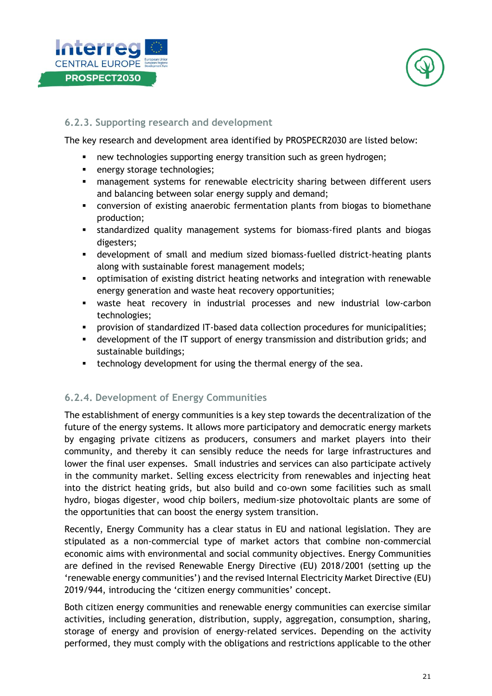



#### <span id="page-21-0"></span>**6.2.3. Supporting research and development**

The key research and development area identified by PROSPECR2030 are listed below:

- new technologies supporting energy transition such as green hydrogen;
- energy storage technologies;
- **■** management systems for renewable electricity sharing between different users and balancing between solar energy supply and demand;
- conversion of existing anaerobic fermentation plants from biogas to biomethane production;
- standardized quality management systems for biomass-fired plants and biogas digesters;
- development of small and medium sized biomass-fuelled district-heating plants along with sustainable forest management models;
- optimisation of existing district heating networks and integration with renewable energy generation and waste heat recovery opportunities;
- waste heat recovery in industrial processes and new industrial low-carbon technologies;
- provision of standardized IT-based data collection procedures for municipalities;
- development of the IT support of energy transmission and distribution grids; and sustainable buildings;
- **•** technology development for using the thermal energy of the sea.

### <span id="page-21-1"></span>**6.2.4. Development of Energy Communities**

The establishment of energy communities is a key step towards the decentralization of the future of the energy systems. It allows more participatory and democratic energy markets by engaging private citizens as producers, consumers and market players into their community, and thereby it can sensibly reduce the needs for large infrastructures and lower the final user expenses. Small industries and services can also participate actively in the community market. Selling excess electricity from renewables and injecting heat into the district heating grids, but also build and co-own some facilities such as small hydro, biogas digester, wood chip boilers, medium-size photovoltaic plants are some of the opportunities that can boost the energy system transition.

Recently, Energy Community has a clear status in EU and national legislation. They are stipulated as a non-commercial type of market actors that combine non-commercial economic aims with environmental and social community objectives. Energy Communities are defined in the revised Renewable Energy Directive (EU) 2018/2001 (setting up the 'renewable energy communities') and the revised Internal Electricity Market Directive (EU) 2019/944, introducing the 'citizen energy communities' concept.

Both citizen energy communities and renewable energy communities can exercise similar activities, including generation, distribution, supply, aggregation, consumption, sharing, storage of energy and provision of energy-related services. Depending on the activity performed, they must comply with the obligations and restrictions applicable to the other